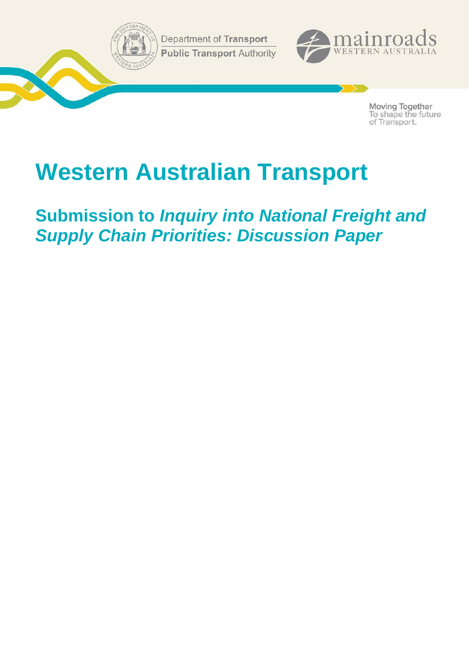Department of Transport **Public Transport Authority** 



Moving Together To shape the future<br>of Transport.

# **Western Australian Transport**

**Submission to** *Inquiry into National Freight and Supply Chain Priorities: Discussion Paper*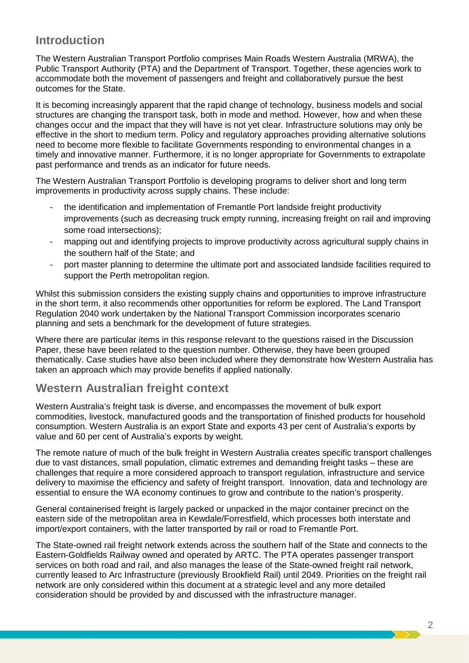# **Introduction**

The Western Australian Transport Portfolio comprises Main Roads Western Australia (MRWA), the Public Transport Authority (PTA) and the Department of Transport. Together, these agencies work to accommodate both the movement of passengers and freight and collaboratively pursue the best outcomes for the State.

It is becoming increasingly apparent that the rapid change of technology, business models and social structures are changing the transport task, both in mode and method. However, how and when these changes occur and the impact that they will have is not yet clear. Infrastructure solutions may only be effective in the short to medium term. Policy and regulatory approaches providing alternative solutions need to become more flexible to facilitate Governments responding to environmental changes in a timely and innovative manner. Furthermore, it is no longer appropriate for Governments to extrapolate past performance and trends as an indicator for future needs.

The Western Australian Transport Portfolio is developing programs to deliver short and long term improvements in productivity across supply chains. These include:

- the identification and implementation of Fremantle Port landside freight productivity improvements (such as decreasing truck empty running, increasing freight on rail and improving some road intersections);
- mapping out and identifying projects to improve productivity across agricultural supply chains in the southern half of the State; and
- port master planning to determine the ultimate port and associated landside facilities required to support the Perth metropolitan region.

Whilst this submission considers the existing supply chains and opportunities to improve infrastructure in the short term, it also recommends other opportunities for reform be explored. The Land Transport Regulation 2040 work undertaken by the National Transport Commission incorporates scenario planning and sets a benchmark for the development of future strategies.

Where there are particular items in this response relevant to the questions raised in the Discussion Paper, these have been related to the question number. Otherwise, they have been grouped thematically. Case studies have also been included where they demonstrate how Western Australia has taken an approach which may provide benefits if applied nationally.

# **Western Australian freight context**

Western Australia's freight task is diverse, and encompasses the movement of bulk export commodities, livestock, manufactured goods and the transportation of finished products for household consumption. Western Australia is an export State and exports 43 per cent of Australia's exports by value and 60 per cent of Australia's exports by weight.

The remote nature of much of the bulk freight in Western Australia creates specific transport challenges due to vast distances, small population, climatic extremes and demanding freight tasks – these are challenges that require a more considered approach to transport regulation, infrastructure and service delivery to maximise the efficiency and safety of freight transport. Innovation, data and technology are essential to ensure the WA economy continues to grow and contribute to the nation's prosperity.

General containerised freight is largely packed or unpacked in the major container precinct on the eastern side of the metropolitan area in Kewdale/Forrestfield, which processes both interstate and import/export containers, with the latter transported by rail or road to Fremantle Port.

The State-owned rail freight network extends across the southern half of the State and connects to the Eastern-Goldfields Railway owned and operated by ARTC. The PTA operates passenger transport services on both road and rail, and also manages the lease of the State-owned freight rail network, currently leased to Arc Infrastructure (previously Brookfield Rail) until 2049. Priorities on the freight rail network are only considered within this document at a strategic level and any more detailed consideration should be provided by and discussed with the infrastructure manager.

2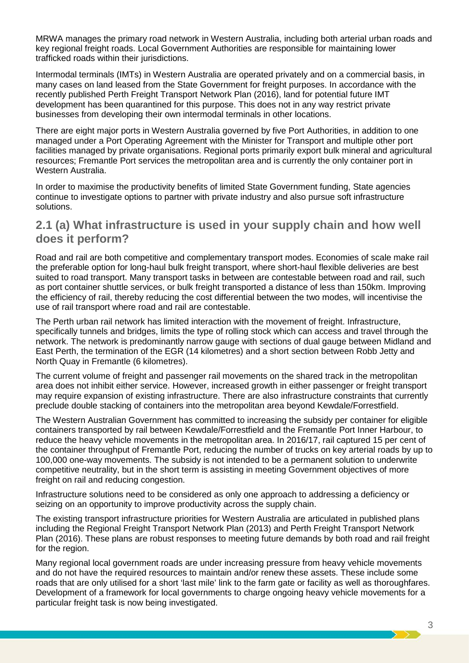MRWA manages the primary road network in Western Australia, including both arterial urban roads and key regional freight roads. Local Government Authorities are responsible for maintaining lower trafficked roads within their jurisdictions.

Intermodal terminals (IMTs) in Western Australia are operated privately and on a commercial basis, in many cases on land leased from the State Government for freight purposes. In accordance with the recently published Perth Freight Transport Network Plan (2016), land for potential future IMT development has been quarantined for this purpose. This does not in any way restrict private businesses from developing their own intermodal terminals in other locations.

There are eight major ports in Western Australia governed by five Port Authorities, in addition to one managed under a Port Operating Agreement with the Minister for Transport and multiple other port facilities managed by private organisations. Regional ports primarily export bulk mineral and agricultural resources; Fremantle Port services the metropolitan area and is currently the only container port in Western Australia.

In order to maximise the productivity benefits of limited State Government funding, State agencies continue to investigate options to partner with private industry and also pursue soft infrastructure solutions.

### **2.1 (a) What infrastructure is used in your supply chain and how well does it perform?**

Road and rail are both competitive and complementary transport modes. Economies of scale make rail the preferable option for long-haul bulk freight transport, where short-haul flexible deliveries are best suited to road transport. Many transport tasks in between are contestable between road and rail, such as port container shuttle services, or bulk freight transported a distance of less than 150km. Improving the efficiency of rail, thereby reducing the cost differential between the two modes, will incentivise the use of rail transport where road and rail are contestable.

The Perth urban rail network has limited interaction with the movement of freight. Infrastructure, specifically tunnels and bridges, limits the type of rolling stock which can access and travel through the network. The network is predominantly narrow gauge with sections of dual gauge between Midland and East Perth, the termination of the EGR (14 kilometres) and a short section between Robb Jetty and North Quay in Fremantle (6 kilometres).

The current volume of freight and passenger rail movements on the shared track in the metropolitan area does not inhibit either service. However, increased growth in either passenger or freight transport may require expansion of existing infrastructure. There are also infrastructure constraints that currently preclude double stacking of containers into the metropolitan area beyond Kewdale/Forrestfield.

The Western Australian Government has committed to increasing the subsidy per container for eligible containers transported by rail between Kewdale/Forrestfield and the Fremantle Port Inner Harbour, to reduce the heavy vehicle movements in the metropolitan area. In 2016/17, rail captured 15 per cent of the container throughput of Fremantle Port, reducing the number of trucks on key arterial roads by up to 100,000 one-way movements. The subsidy is not intended to be a permanent solution to underwrite competitive neutrality, but in the short term is assisting in meeting Government objectives of more freight on rail and reducing congestion.

Infrastructure solutions need to be considered as only one approach to addressing a deficiency or seizing on an opportunity to improve productivity across the supply chain.

The existing transport infrastructure priorities for Western Australia are articulated in published plans including the Regional Freight Transport Network Plan (2013) and Perth Freight Transport Network Plan (2016). These plans are robust responses to meeting future demands by both road and rail freight for the region.

Many regional local government roads are under increasing pressure from heavy vehicle movements and do not have the required resources to maintain and/or renew these assets. These include some roads that are only utilised for a short 'last mile' link to the farm gate or facility as well as thoroughfares. Development of a framework for local governments to charge ongoing heavy vehicle movements for a particular freight task is now being investigated.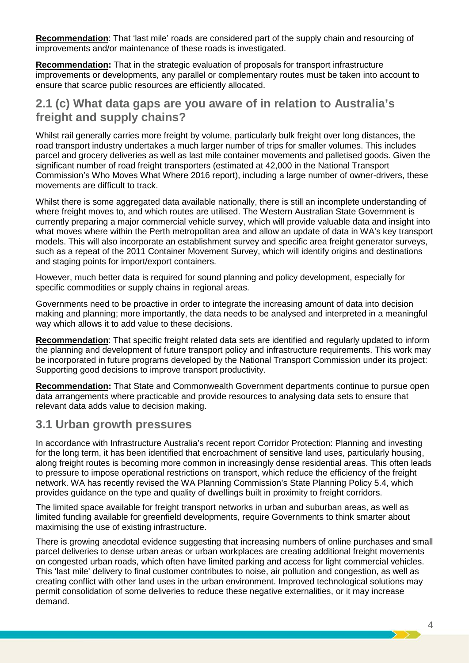**Recommendation**: That 'last mile' roads are considered part of the supply chain and resourcing of improvements and/or maintenance of these roads is investigated.

**Recommendation:** That in the strategic evaluation of proposals for transport infrastructure improvements or developments, any parallel or complementary routes must be taken into account to ensure that scarce public resources are efficiently allocated.

### **2.1 (c) What data gaps are you aware of in relation to Australia's freight and supply chains?**

Whilst rail generally carries more freight by volume, particularly bulk freight over long distances, the road transport industry undertakes a much larger number of trips for smaller volumes. This includes parcel and grocery deliveries as well as last mile container movements and palletised goods. Given the significant number of road freight transporters (estimated at 42,000 in the National Transport Commission's Who Moves What Where 2016 report), including a large number of owner-drivers, these movements are difficult to track.

Whilst there is some aggregated data available nationally, there is still an incomplete understanding of where freight moves to, and which routes are utilised. The Western Australian State Government is currently preparing a major commercial vehicle survey, which will provide valuable data and insight into what moves where within the Perth metropolitan area and allow an update of data in WA's key transport models. This will also incorporate an establishment survey and specific area freight generator surveys, such as a repeat of the 2011 Container Movement Survey, which will identify origins and destinations and staging points for import/export containers.

However, much better data is required for sound planning and policy development, especially for specific commodities or supply chains in regional areas.

Governments need to be proactive in order to integrate the increasing amount of data into decision making and planning; more importantly, the data needs to be analysed and interpreted in a meaningful way which allows it to add value to these decisions.

**Recommendation**: That specific freight related data sets are identified and regularly updated to inform the planning and development of future transport policy and infrastructure requirements. This work may be incorporated in future programs developed by the National Transport Commission under its project: Supporting good decisions to improve transport productivity.

**Recommendation:** That State and Commonwealth Government departments continue to pursue open data arrangements where practicable and provide resources to analysing data sets to ensure that relevant data adds value to decision making.

### **3.1 Urban growth pressures**

In accordance with Infrastructure Australia's recent report Corridor Protection: Planning and investing for the long term, it has been identified that encroachment of sensitive land uses, particularly housing, along freight routes is becoming more common in increasingly dense residential areas. This often leads to pressure to impose operational restrictions on transport, which reduce the efficiency of the freight network. WA has recently revised the WA Planning Commission's State Planning Policy 5.4, which provides guidance on the type and quality of dwellings built in proximity to freight corridors.

The limited space available for freight transport networks in urban and suburban areas, as well as limited funding available for greenfield developments, require Governments to think smarter about maximising the use of existing infrastructure.

There is growing anecdotal evidence suggesting that increasing numbers of online purchases and small parcel deliveries to dense urban areas or urban workplaces are creating additional freight movements on congested urban roads, which often have limited parking and access for light commercial vehicles. This 'last mile' delivery to final customer contributes to noise, air pollution and congestion, as well as creating conflict with other land uses in the urban environment. Improved technological solutions may permit consolidation of some deliveries to reduce these negative externalities, or it may increase demand.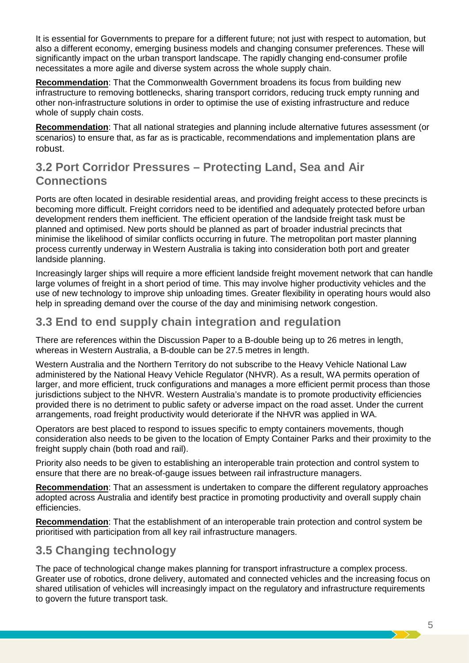It is essential for Governments to prepare for a different future; not just with respect to automation, but also a different economy, emerging business models and changing consumer preferences. These will significantly impact on the urban transport landscape. The rapidly changing end-consumer profile necessitates a more agile and diverse system across the whole supply chain.

**Recommendation**: That the Commonwealth Government broadens its focus from building new infrastructure to removing bottlenecks, sharing transport corridors, reducing truck empty running and other non-infrastructure solutions in order to optimise the use of existing infrastructure and reduce whole of supply chain costs.

**Recommendation**: That all national strategies and planning include alternative futures assessment (or scenarios) to ensure that, as far as is practicable, recommendations and implementation plans are robust.

# **3.2 Port Corridor Pressures – Protecting Land, Sea and Air Connections**

Ports are often located in desirable residential areas, and providing freight access to these precincts is becoming more difficult. Freight corridors need to be identified and adequately protected before urban development renders them inefficient. The efficient operation of the landside freight task must be planned and optimised. New ports should be planned as part of broader industrial precincts that minimise the likelihood of similar conflicts occurring in future. The metropolitan port master planning process currently underway in Western Australia is taking into consideration both port and greater landside planning.

Increasingly larger ships will require a more efficient landside freight movement network that can handle large volumes of freight in a short period of time. This may involve higher productivity vehicles and the use of new technology to improve ship unloading times. Greater flexibility in operating hours would also help in spreading demand over the course of the day and minimising network congestion.

# **3.3 End to end supply chain integration and regulation**

There are references within the Discussion Paper to a B-double being up to 26 metres in length, whereas in Western Australia, a B-double can be 27.5 metres in length.

Western Australia and the Northern Territory do not subscribe to the Heavy Vehicle National Law administered by the National Heavy Vehicle Regulator (NHVR). As a result, WA permits operation of larger, and more efficient, truck configurations and manages a more efficient permit process than those jurisdictions subject to the NHVR. Western Australia's mandate is to promote productivity efficiencies provided there is no detriment to public safety or adverse impact on the road asset. Under the current arrangements, road freight productivity would deteriorate if the NHVR was applied in WA.

Operators are best placed to respond to issues specific to empty containers movements, though consideration also needs to be given to the location of Empty Container Parks and their proximity to the freight supply chain (both road and rail).

Priority also needs to be given to establishing an interoperable train protection and control system to ensure that there are no break-of-gauge issues between rail infrastructure managers.

**Recommendation**: That an assessment is undertaken to compare the different regulatory approaches adopted across Australia and identify best practice in promoting productivity and overall supply chain efficiencies.

**Recommendation**: That the establishment of an interoperable train protection and control system be prioritised with participation from all key rail infrastructure managers.

# **3.5 Changing technology**

The pace of technological change makes planning for transport infrastructure a complex process. Greater use of robotics, drone delivery, automated and connected vehicles and the increasing focus on shared utilisation of vehicles will increasingly impact on the regulatory and infrastructure requirements to govern the future transport task.

 $>$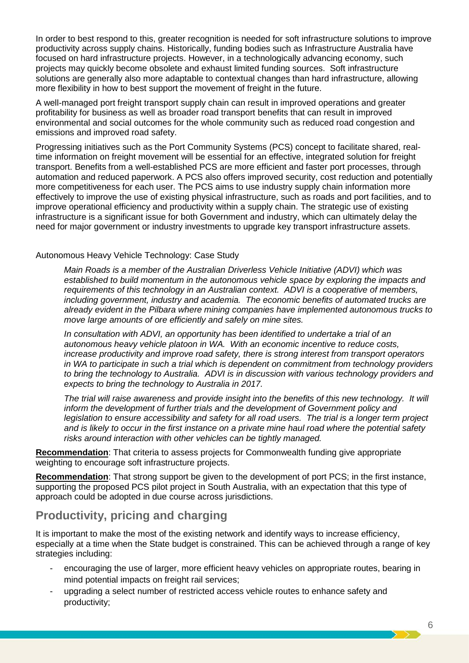In order to best respond to this, greater recognition is needed for soft infrastructure solutions to improve productivity across supply chains. Historically, funding bodies such as Infrastructure Australia have focused on hard infrastructure projects. However, in a technologically advancing economy, such projects may quickly become obsolete and exhaust limited funding sources. Soft infrastructure solutions are generally also more adaptable to contextual changes than hard infrastructure, allowing more flexibility in how to best support the movement of freight in the future.

A well-managed port freight transport supply chain can result in improved operations and greater profitability for business as well as broader road transport benefits that can result in improved environmental and social outcomes for the whole community such as reduced road congestion and emissions and improved road safety.

Progressing initiatives such as the Port Community Systems (PCS) concept to facilitate shared, realtime information on freight movement will be essential for an effective, integrated solution for freight transport. Benefits from a well-established PCS are more efficient and faster port processes, through automation and reduced paperwork. A PCS also offers improved security, cost reduction and potentially more competitiveness for each user. The PCS aims to use industry supply chain information more effectively to improve the use of existing physical infrastructure, such as roads and port facilities, and to improve operational efficiency and productivity within a supply chain. The strategic use of existing infrastructure is a significant issue for both Government and industry, which can ultimately delay the need for major government or industry investments to upgrade key transport infrastructure assets.

#### Autonomous Heavy Vehicle Technology: Case Study

*Main Roads is a member of the Australian Driverless Vehicle Initiative (ADVI) which was established to build momentum in the autonomous vehicle space by exploring the impacts and requirements of this technology in an Australian context. ADVI is a cooperative of members, including government, industry and academia. The economic benefits of automated trucks are already evident in the Pilbara where mining companies have implemented autonomous trucks to move large amounts of ore efficiently and safely on mine sites.* 

*In consultation with ADVI, an opportunity has been identified to undertake a trial of an autonomous heavy vehicle platoon in WA. With an economic incentive to reduce costs, increase productivity and improve road safety, there is strong interest from transport operators in WA to participate in such a trial which is dependent on commitment from technology providers to bring the technology to Australia. ADVI is in discussion with various technology providers and expects to bring the technology to Australia in 2017.*

*The trial will raise awareness and provide insight into the benefits of this new technology. It will inform the development of further trials and the development of Government policy and legislation to ensure accessibility and safety for all road users. The trial is a longer term project and is likely to occur in the first instance on a private mine haul road where the potential safety risks around interaction with other vehicles can be tightly managed.*

**Recommendation**: That criteria to assess projects for Commonwealth funding give appropriate weighting to encourage soft infrastructure projects.

**Recommendation**: That strong support be given to the development of port PCS; in the first instance, supporting the proposed PCS pilot project in South Australia, with an expectation that this type of approach could be adopted in due course across jurisdictions.

# **Productivity, pricing and charging**

It is important to make the most of the existing network and identify ways to increase efficiency, especially at a time when the State budget is constrained. This can be achieved through a range of key strategies including:

- encouraging the use of larger, more efficient heavy vehicles on appropriate routes, bearing in mind potential impacts on freight rail services;
- upgrading a select number of restricted access vehicle routes to enhance safety and productivity;